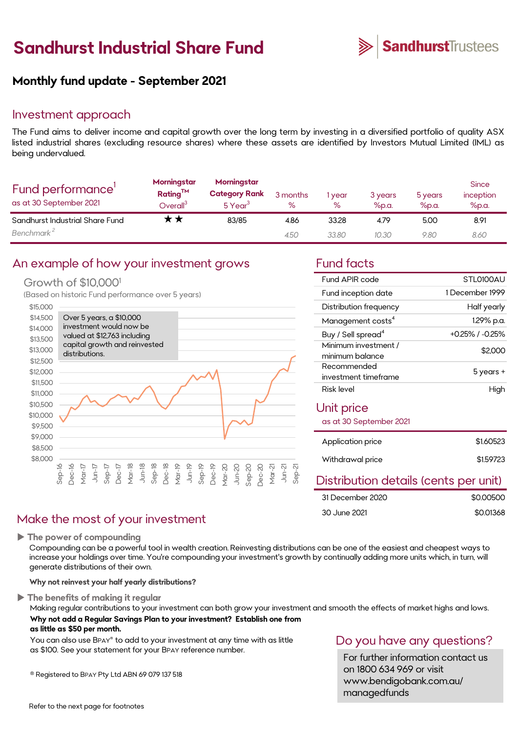# **Sandhurst Industrial Share Fund**



#### **Monthly fund update - September 2021**

#### Investment approach

The Fund aims to deliver income and capital growth over the long term by investing in a diversified portfolio of quality ASX listed industrial shares (excluding resource shares) where these assets are identified by Investors Mutual Limited (IML) as being undervalued.

| Fund performance'<br>as at 30 September 2021 | Morningstar<br>Rating <sup>TM</sup><br>$O$ verall $^3$ | Morningstar<br><b>Category Rank</b><br>5 Year <sup>3</sup> | 3 months<br>% | year<br>% | 3 years<br>$%$ p.a. | 5 years<br>%p.a. | <b>Since</b><br>inception<br>%p.a. |
|----------------------------------------------|--------------------------------------------------------|------------------------------------------------------------|---------------|-----------|---------------------|------------------|------------------------------------|
| Sandhurst Industrial Share Fund              |                                                        | 83/85                                                      | 4.86          | 33.28     | 4.79                | 5.00             | 8.91                               |
| Benchmark <sup>2</sup>                       |                                                        |                                                            | 4.50          | 33.80     | 10.30               | 9.80             | 8.60                               |

#### An example of how your investment grows Fund facts

#### Growth of \$10,000<sup>1</sup>

(Based on historic Fund performance over 5 years)



#### Make the most of your investment

**The power of compounding**

Compounding can be a powerful tool in wealth creation. Reinvesting distributions can be one of the easiest and cheapest ways to increase your holdings over time. You're compounding your investment's growth by continually adding more units which, in turn, will generate distributions of their own.

**Why not reinvest your half yearly distributions?**

**The benefits of making it regular**

Making regular contributions to your investment can both grow your investment and smooth the effects of market highs and lows. **Why not add a Regular Savings Plan to your investment? Establish one from as little as \$50 per month.** 

You can also use BPAY® to add to your investment at any time with as little as \$100. See your statement for your BPAY reference number.

® Registered to BPAY Pty Ltd ABN 69 079 137 518

| Fund APIR code                 | STL0100AU             |
|--------------------------------|-----------------------|
| Fund inception date            | 1 December 1999       |
| Distribution frequency         | Half yearly           |
| Management costs <sup>4</sup>  | 1.29% p.a.            |
| Buy / Sell spread <sup>4</sup> | $+0.25\%$ / $-0.25\%$ |
| Minimum investment /           | \$2.000               |
| minimum balance                |                       |
| Recommended                    |                       |
| investment timeframe           | 5 years +             |
| Risk level                     | High                  |
| Unit price                     |                       |
| as at 30 September 2021        |                       |
|                                |                       |
|                                |                       |

| Application price | \$1,60523 |
|-------------------|-----------|
| Withdrawal price  | \$1.59723 |
|                   |           |

#### Distribution details (cents per unit)

| 31 December 2020 | \$0,00500 |
|------------------|-----------|
| 30 June 2021     | \$0.01368 |

#### Do you have any questions?

For further information contact us on 1800 634 969 or visit www.bendigobank.com.au/ managedfunds